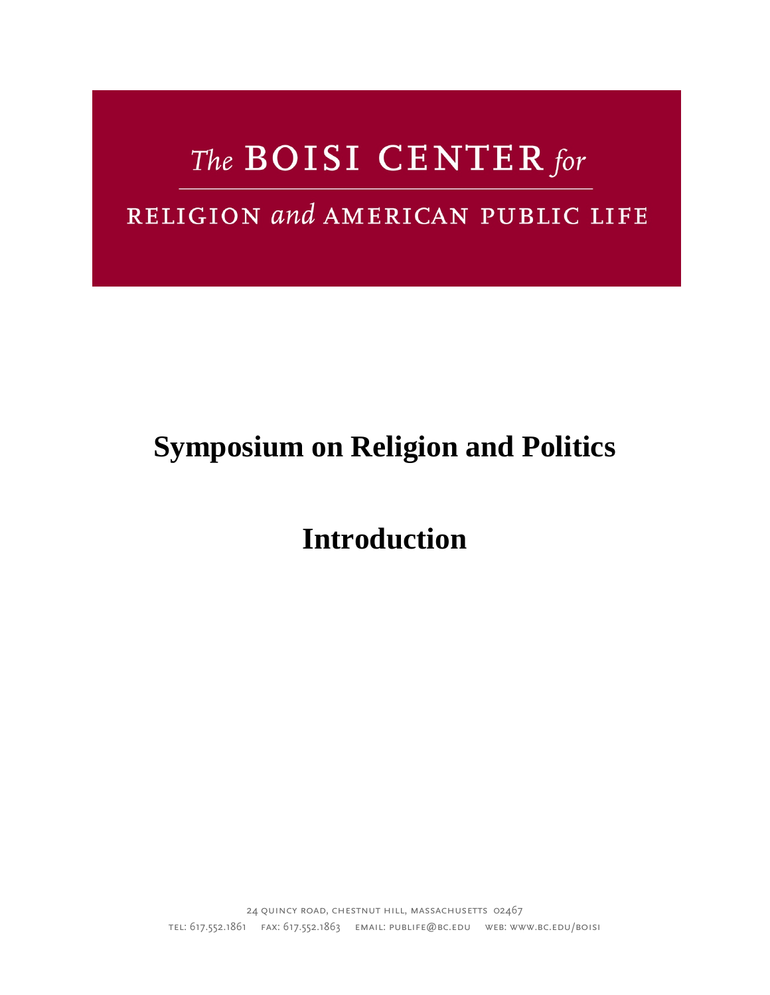# The BOISI CENTER for

### RELIGION and AMERICAN PUBLIC LIFE

## **Symposium on Religion and Politics**

**Introduction**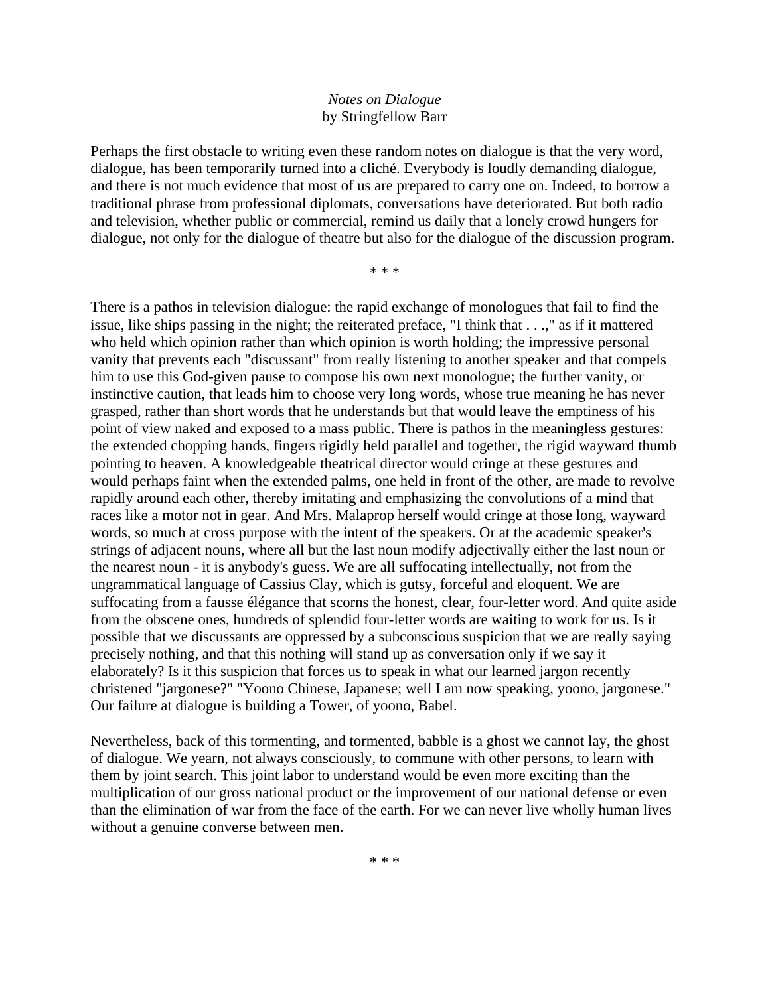### *Notes on Dialogue*  by Stringfellow Barr

Perhaps the first obstacle to writing even these random notes on dialogue is that the very word, dialogue, has been temporarily turned into a cliché. Everybody is loudly demanding dialogue, and there is not much evidence that most of us are prepared to carry one on. Indeed, to borrow a traditional phrase from professional diplomats, conversations have deteriorated. But both radio and television, whether public or commercial, remind us daily that a lonely crowd hungers for dialogue, not only for the dialogue of theatre but also for the dialogue of the discussion program.

\* \* \*

There is a pathos in television dialogue: the rapid exchange of monologues that fail to find the issue, like ships passing in the night; the reiterated preface, "I think that . . .," as if it mattered who held which opinion rather than which opinion is worth holding; the impressive personal vanity that prevents each "discussant" from really listening to another speaker and that compels him to use this God-given pause to compose his own next monologue; the further vanity, or instinctive caution, that leads him to choose very long words, whose true meaning he has never grasped, rather than short words that he understands but that would leave the emptiness of his point of view naked and exposed to a mass public. There is pathos in the meaningless gestures: the extended chopping hands, fingers rigidly held parallel and together, the rigid wayward thumb pointing to heaven. A knowledgeable theatrical director would cringe at these gestures and would perhaps faint when the extended palms, one held in front of the other, are made to revolve rapidly around each other, thereby imitating and emphasizing the convolutions of a mind that races like a motor not in gear. And Mrs. Malaprop herself would cringe at those long, wayward words, so much at cross purpose with the intent of the speakers. Or at the academic speaker's strings of adjacent nouns, where all but the last noun modify adjectivally either the last noun or the nearest noun - it is anybody's guess. We are all suffocating intellectually, not from the ungrammatical language of Cassius Clay, which is gutsy, forceful and eloquent. We are suffocating from a fausse élégance that scorns the honest, clear, four-letter word. And quite aside from the obscene ones, hundreds of splendid four-letter words are waiting to work for us. Is it possible that we discussants are oppressed by a subconscious suspicion that we are really saying precisely nothing, and that this nothing will stand up as conversation only if we say it elaborately? Is it this suspicion that forces us to speak in what our learned jargon recently christened "jargonese?" "Yoono Chinese, Japanese; well I am now speaking, yoono, jargonese." Our failure at dialogue is building a Tower, of yoono, Babel.

Nevertheless, back of this tormenting, and tormented, babble is a ghost we cannot lay, the ghost of dialogue. We yearn, not always consciously, to commune with other persons, to learn with them by joint search. This joint labor to understand would be even more exciting than the multiplication of our gross national product or the improvement of our national defense or even than the elimination of war from the face of the earth. For we can never live wholly human lives without a genuine converse between men.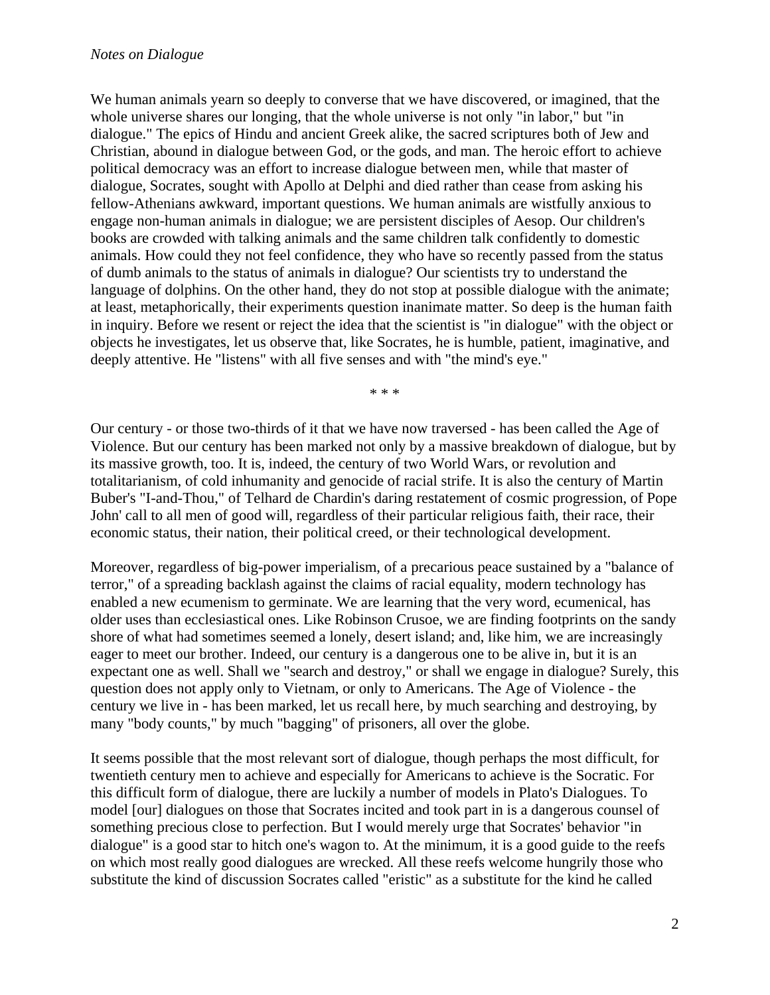We human animals yearn so deeply to converse that we have discovered, or imagined, that the whole universe shares our longing, that the whole universe is not only "in labor," but "in dialogue." The epics of Hindu and ancient Greek alike, the sacred scriptures both of Jew and Christian, abound in dialogue between God, or the gods, and man. The heroic effort to achieve political democracy was an effort to increase dialogue between men, while that master of dialogue, Socrates, sought with Apollo at Delphi and died rather than cease from asking his fellow-Athenians awkward, important questions. We human animals are wistfully anxious to engage non-human animals in dialogue; we are persistent disciples of Aesop. Our children's books are crowded with talking animals and the same children talk confidently to domestic animals. How could they not feel confidence, they who have so recently passed from the status of dumb animals to the status of animals in dialogue? Our scientists try to understand the language of dolphins. On the other hand, they do not stop at possible dialogue with the animate; at least, metaphorically, their experiments question inanimate matter. So deep is the human faith in inquiry. Before we resent or reject the idea that the scientist is "in dialogue" with the object or objects he investigates, let us observe that, like Socrates, he is humble, patient, imaginative, and deeply attentive. He "listens" with all five senses and with "the mind's eye."

\* \* \*

Our century - or those two-thirds of it that we have now traversed - has been called the Age of Violence. But our century has been marked not only by a massive breakdown of dialogue, but by its massive growth, too. It is, indeed, the century of two World Wars, or revolution and totalitarianism, of cold inhumanity and genocide of racial strife. It is also the century of Martin Buber's "I-and-Thou," of Telhard de Chardin's daring restatement of cosmic progression, of Pope John' call to all men of good will, regardless of their particular religious faith, their race, their economic status, their nation, their political creed, or their technological development.

Moreover, regardless of big-power imperialism, of a precarious peace sustained by a "balance of terror," of a spreading backlash against the claims of racial equality, modern technology has enabled a new ecumenism to germinate. We are learning that the very word, ecumenical, has older uses than ecclesiastical ones. Like Robinson Crusoe, we are finding footprints on the sandy shore of what had sometimes seemed a lonely, desert island; and, like him, we are increasingly eager to meet our brother. Indeed, our century is a dangerous one to be alive in, but it is an expectant one as well. Shall we "search and destroy," or shall we engage in dialogue? Surely, this question does not apply only to Vietnam, or only to Americans. The Age of Violence - the century we live in - has been marked, let us recall here, by much searching and destroying, by many "body counts," by much "bagging" of prisoners, all over the globe.

It seems possible that the most relevant sort of dialogue, though perhaps the most difficult, for twentieth century men to achieve and especially for Americans to achieve is the Socratic. For this difficult form of dialogue, there are luckily a number of models in Plato's Dialogues. To model [our] dialogues on those that Socrates incited and took part in is a dangerous counsel of something precious close to perfection. But I would merely urge that Socrates' behavior "in dialogue" is a good star to hitch one's wagon to. At the minimum, it is a good guide to the reefs on which most really good dialogues are wrecked. All these reefs welcome hungrily those who substitute the kind of discussion Socrates called "eristic" as a substitute for the kind he called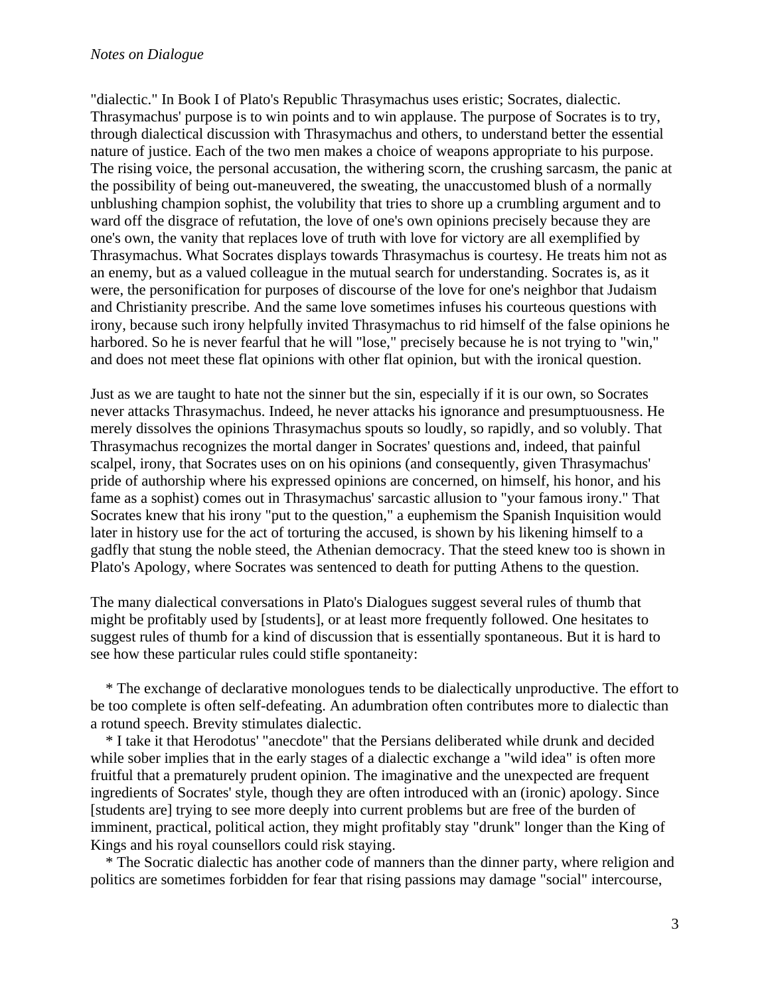#### *Notes on Dialogue*

"dialectic." In Book I of Plato's Republic Thrasymachus uses eristic; Socrates, dialectic. Thrasymachus' purpose is to win points and to win applause. The purpose of Socrates is to try, through dialectical discussion with Thrasymachus and others, to understand better the essential nature of justice. Each of the two men makes a choice of weapons appropriate to his purpose. The rising voice, the personal accusation, the withering scorn, the crushing sarcasm, the panic at the possibility of being out-maneuvered, the sweating, the unaccustomed blush of a normally unblushing champion sophist, the volubility that tries to shore up a crumbling argument and to ward off the disgrace of refutation, the love of one's own opinions precisely because they are one's own, the vanity that replaces love of truth with love for victory are all exemplified by Thrasymachus. What Socrates displays towards Thrasymachus is courtesy. He treats him not as an enemy, but as a valued colleague in the mutual search for understanding. Socrates is, as it were, the personification for purposes of discourse of the love for one's neighbor that Judaism and Christianity prescribe. And the same love sometimes infuses his courteous questions with irony, because such irony helpfully invited Thrasymachus to rid himself of the false opinions he harbored. So he is never fearful that he will "lose," precisely because he is not trying to "win," and does not meet these flat opinions with other flat opinion, but with the ironical question.

Just as we are taught to hate not the sinner but the sin, especially if it is our own, so Socrates never attacks Thrasymachus. Indeed, he never attacks his ignorance and presumptuousness. He merely dissolves the opinions Thrasymachus spouts so loudly, so rapidly, and so volubly. That Thrasymachus recognizes the mortal danger in Socrates' questions and, indeed, that painful scalpel, irony, that Socrates uses on on his opinions (and consequently, given Thrasymachus' pride of authorship where his expressed opinions are concerned, on himself, his honor, and his fame as a sophist) comes out in Thrasymachus' sarcastic allusion to "your famous irony." That Socrates knew that his irony "put to the question," a euphemism the Spanish Inquisition would later in history use for the act of torturing the accused, is shown by his likening himself to a gadfly that stung the noble steed, the Athenian democracy. That the steed knew too is shown in Plato's Apology, where Socrates was sentenced to death for putting Athens to the question.

The many dialectical conversations in Plato's Dialogues suggest several rules of thumb that might be profitably used by [students], or at least more frequently followed. One hesitates to suggest rules of thumb for a kind of discussion that is essentially spontaneous. But it is hard to see how these particular rules could stifle spontaneity:

 \* The exchange of declarative monologues tends to be dialectically unproductive. The effort to be too complete is often self-defeating. An adumbration often contributes more to dialectic than a rotund speech. Brevity stimulates dialectic.

 \* I take it that Herodotus' "anecdote" that the Persians deliberated while drunk and decided while sober implies that in the early stages of a dialectic exchange a "wild idea" is often more fruitful that a prematurely prudent opinion. The imaginative and the unexpected are frequent ingredients of Socrates' style, though they are often introduced with an (ironic) apology. Since [students are] trying to see more deeply into current problems but are free of the burden of imminent, practical, political action, they might profitably stay "drunk" longer than the King of Kings and his royal counsellors could risk staying.

 \* The Socratic dialectic has another code of manners than the dinner party, where religion and politics are sometimes forbidden for fear that rising passions may damage "social" intercourse,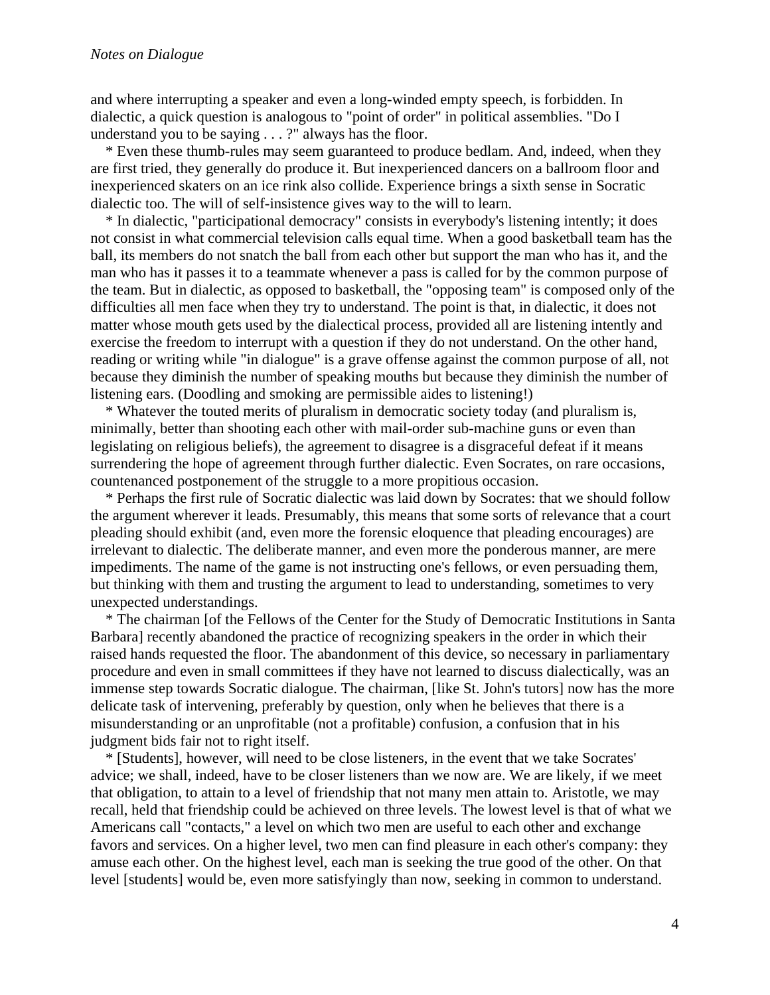and where interrupting a speaker and even a long-winded empty speech, is forbidden. In dialectic, a quick question is analogous to "point of order" in political assemblies. "Do I understand you to be saying . . . ?" always has the floor.

 \* Even these thumb-rules may seem guaranteed to produce bedlam. And, indeed, when they are first tried, they generally do produce it. But inexperienced dancers on a ballroom floor and inexperienced skaters on an ice rink also collide. Experience brings a sixth sense in Socratic dialectic too. The will of self-insistence gives way to the will to learn.

 \* In dialectic, "participational democracy" consists in everybody's listening intently; it does not consist in what commercial television calls equal time. When a good basketball team has the ball, its members do not snatch the ball from each other but support the man who has it, and the man who has it passes it to a teammate whenever a pass is called for by the common purpose of the team. But in dialectic, as opposed to basketball, the "opposing team" is composed only of the difficulties all men face when they try to understand. The point is that, in dialectic, it does not matter whose mouth gets used by the dialectical process, provided all are listening intently and exercise the freedom to interrupt with a question if they do not understand. On the other hand, reading or writing while "in dialogue" is a grave offense against the common purpose of all, not because they diminish the number of speaking mouths but because they diminish the number of listening ears. (Doodling and smoking are permissible aides to listening!)

 \* Whatever the touted merits of pluralism in democratic society today (and pluralism is, minimally, better than shooting each other with mail-order sub-machine guns or even than legislating on religious beliefs), the agreement to disagree is a disgraceful defeat if it means surrendering the hope of agreement through further dialectic. Even Socrates, on rare occasions, countenanced postponement of the struggle to a more propitious occasion.

 \* Perhaps the first rule of Socratic dialectic was laid down by Socrates: that we should follow the argument wherever it leads. Presumably, this means that some sorts of relevance that a court pleading should exhibit (and, even more the forensic eloquence that pleading encourages) are irrelevant to dialectic. The deliberate manner, and even more the ponderous manner, are mere impediments. The name of the game is not instructing one's fellows, or even persuading them, but thinking with them and trusting the argument to lead to understanding, sometimes to very unexpected understandings.

 \* The chairman [of the Fellows of the Center for the Study of Democratic Institutions in Santa Barbara] recently abandoned the practice of recognizing speakers in the order in which their raised hands requested the floor. The abandonment of this device, so necessary in parliamentary procedure and even in small committees if they have not learned to discuss dialectically, was an immense step towards Socratic dialogue. The chairman, [like St. John's tutors] now has the more delicate task of intervening, preferably by question, only when he believes that there is a misunderstanding or an unprofitable (not a profitable) confusion, a confusion that in his judgment bids fair not to right itself.

 \* [Students], however, will need to be close listeners, in the event that we take Socrates' advice; we shall, indeed, have to be closer listeners than we now are. We are likely, if we meet that obligation, to attain to a level of friendship that not many men attain to. Aristotle, we may recall, held that friendship could be achieved on three levels. The lowest level is that of what we Americans call "contacts," a level on which two men are useful to each other and exchange favors and services. On a higher level, two men can find pleasure in each other's company: they amuse each other. On the highest level, each man is seeking the true good of the other. On that level [students] would be, even more satisfyingly than now, seeking in common to understand.